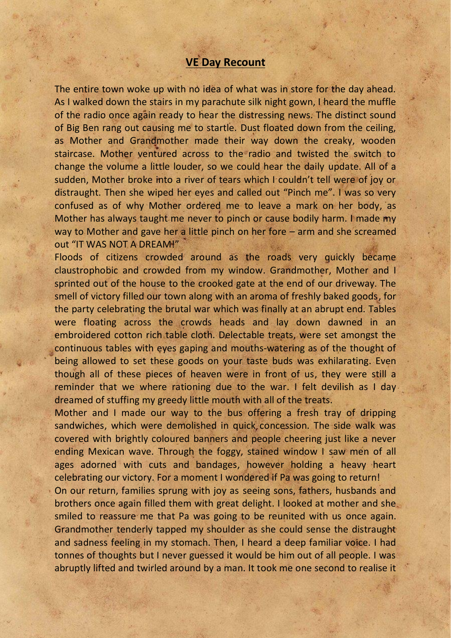## **VE Day Recount**

The entire town woke up with no idea of what was in store for the day ahead. As I walked down the stairs in my parachute silk night gown, I heard the muffle of the radio once again ready to hear the distressing news. The distinct sound of Big Ben rang out causing me to startle. Dust floated down from the ceiling, as Mother and Grandmother made their way down the creaky, wooden staircase. Mother ventured across to the radio and twisted the switch to change the volume a little louder, so we could hear the daily update. All of a sudden, Mother broke into a river of tears which I couldn't tell were of joy or distraught. Then she wiped her eyes and called out "Pinch me". I was so very confused as of why Mother ordered me to leave a mark on her body, as Mother has always taught me never to pinch or cause bodily harm. I made my way to Mother and gave her a little pinch on her fore – arm and she screamed out "IT WAS NOT A DREAM!"

Floods of citizens crowded around as the roads very quickly became claustrophobic and crowded from my window. Grandmother, Mother and I sprinted out of the house to the crooked gate at the end of our driveway. The smell of victory filled our town along with an aroma of freshly baked goods, for the party celebrating the brutal war which was finally at an abrupt end. Tables were floating across the crowds heads and lay down dawned in an embroidered cotton rich table cloth. Delectable treats, were set amongst the continuous tables with eyes gaping and mouths-watering as of the thought of being allowed to set these goods on your taste buds was exhilarating. Even though all of these pieces of heaven were in front of us, they were still a reminder that we where rationing due to the war. I felt devilish as I day dreamed of stuffing my greedy little mouth with all of the treats.

Mother and I made our way to the bus offering a fresh tray of dripping sandwiches, which were demolished in quick concession. The side walk was covered with brightly coloured banners and people cheering just like a never ending Mexican wave. Through the foggy, stained window I saw men of all ages adorned with cuts and bandages, however holding a heavy heart celebrating our victory. For a moment I wondered if Pa was going to return!

On our return, families sprung with joy as seeing sons, fathers, husbands and brothers once again filled them with great delight. I looked at mother and she smiled to reassure me that Pa was going to be reunited with us once again. Grandmother tenderly tapped my shoulder as she could sense the distraught and sadness feeling in my stomach. Then, I heard a deep familiar voice. I had tonnes of thoughts but I never guessed it would be him out of all people. I was abruptly lifted and twirled around by a man. It took me one second to realise it